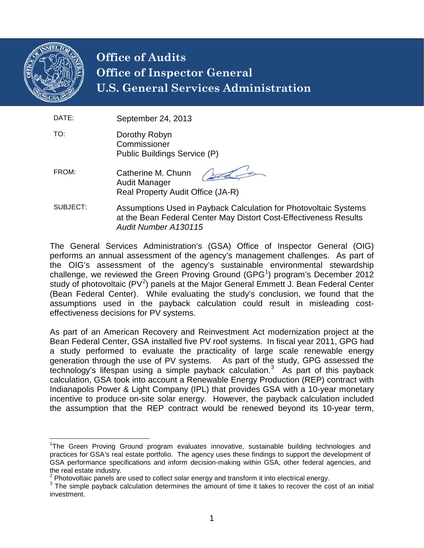

## **Office of Audits Office of Inspector General U.S. General Services Administration**

- DATE: September 24, 2013
- TO: Dorothy Robyn **Commissioner** Public Buildings Service (P)
- FROM: Catherine M. Chunn Audit Manager Real Property Audit Office (JA-R)
- SUBJECT: Assumptions Used in Payback Calculation for Photovoltaic Systems at the Bean Federal Center May Distort Cost-Effectiveness Results *Audit Number A130115*

The General Services Administration's (GSA) Office of Inspector General (OIG) performs an annual assessment of the agency's management challenges. As part of the OIG's assessment of the agency's sustainable environmental stewardship challenge, we reviewed the Green Proving Ground (GPG<sup>[1](#page-0-0)</sup>) program's December 2012 study of photovoltaic (PV<sup>[2](#page-0-1)</sup>) panels at the Major General Emmett J. Bean Federal Center (Bean Federal Center). While evaluating the study's conclusion, we found that the assumptions used in the payback calculation could result in misleading costeffectiveness decisions for PV systems.

As part of an American Recovery and Reinvestment Act modernization project at the Bean Federal Center, GSA installed five PV roof systems. In fiscal year 2011, GPG had a study performed to evaluate the practicality of large scale renewable energy generation through the use of PV systems. As part of the study, GPG assessed the technology's lifespan using a simple payback calculation. [3](#page-0-2) As part of this payback calculation, GSA took into account a Renewable Energy Production (REP) contract with Indianapolis Power & Light Company (IPL) that provides GSA with a 10-year monetary incentive to produce on-site solar energy. However, the payback calculation included the assumption that the REP contract would be renewed beyond its 10-year term,

<span id="page-0-0"></span>1 The Green Proving Ground program evaluates innovative, sustainable building technologies and practices for GSA's real estate portfolio. The agency uses these findings to support the development of GSA performance specifications and inform decision-making within GSA, other federal agencies, and the real estate industry.<br><sup>2</sup> Photovoltaic panels are used to collect solar energy and transform it into electrical energy.

<span id="page-0-1"></span>

<span id="page-0-2"></span> $3$  The simple payback calculation determines the amount of time it takes to recover the cost of an initial investment.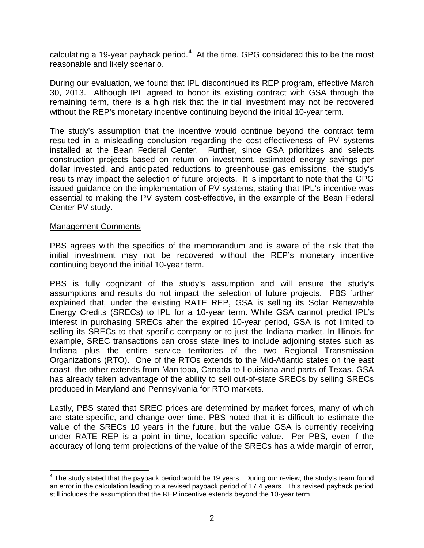calculating a 19-year payback period.<sup>[4](#page-1-0)</sup> At the time, GPG considered this to be the most reasonable and likely scenario.

During our evaluation, we found that IPL discontinued its REP program, effective March 30, 2013. Although IPL agreed to honor its existing contract with GSA through the remaining term, there is a high risk that the initial investment may not be recovered without the REP's monetary incentive continuing beyond the initial 10-year term.

The study's assumption that the incentive would continue beyond the contract term resulted in a misleading conclusion regarding the cost-effectiveness of PV systems installed at the Bean Federal Center. Further, since GSA prioritizes and selects construction projects based on return on investment, estimated energy savings per dollar invested, and anticipated reductions to greenhouse gas emissions, the study's results may impact the selection of future projects. It is important to note that the GPG issued guidance on the implementation of PV systems, stating that IPL's incentive was essential to making the PV system cost-effective, in the example of the Bean Federal Center PV study.

## Management Comments

PBS agrees with the specifics of the memorandum and is aware of the risk that the initial investment may not be recovered without the REP's monetary incentive continuing beyond the initial 10-year term.

PBS is fully cognizant of the study's assumption and will ensure the study's assumptions and results do not impact the selection of future projects. PBS further explained that, under the existing RATE REP, GSA is selling its Solar Renewable Energy Credits (SRECs) to IPL for a 10-year term. While GSA cannot predict IPL's interest in purchasing SRECs after the expired 10-year period, GSA is not limited to selling its SRECs to that specific company or to just the Indiana market. In Illinois for example, SREC transactions can cross state lines to include adjoining states such as Indiana plus the entire service territories of the two Regional Transmission Organizations (RTO). One of the RTOs extends to the Mid-Atlantic states on the east coast, the other extends from Manitoba, Canada to Louisiana and parts of Texas. GSA has already taken advantage of the ability to sell out-of-state SRECs by selling SRECs produced in Maryland and Pennsylvania for RTO markets.

Lastly, PBS stated that SREC prices are determined by market forces, many of which are state-specific, and change over time. PBS noted that it is difficult to estimate the value of the SRECs 10 years in the future, but the value GSA is currently receiving under RATE REP is a point in time, location specific value. Per PBS, even if the accuracy of long term projections of the value of the SRECs has a wide margin of error,

<span id="page-1-0"></span> $<sup>4</sup>$  The study stated that the payback period would be 19 years. During our review, the study's team found</sup> an error in the calculation leading to a revised payback period of 17.4 years. This revised payback period still includes the assumption that the REP incentive extends beyond the 10-year term.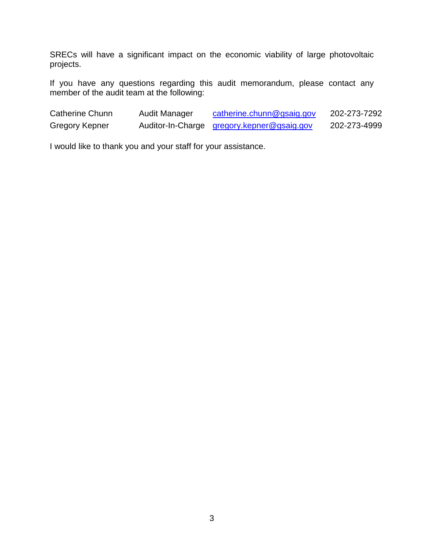SRECs will have a significant impact on the economic viability of large photovoltaic projects.

If you have any questions regarding this audit memorandum, please contact any member of the audit team at the following:

| Catherine Chunn | <b>Audit Manager</b> | catherine.chunn@gsaig.gov                  | 202-273-7292 |
|-----------------|----------------------|--------------------------------------------|--------------|
| Gregory Kepner  |                      | Auditor-In-Charge gregory.kepner@gsaig.gov | 202-273-4999 |

I would like to thank you and your staff for your assistance.